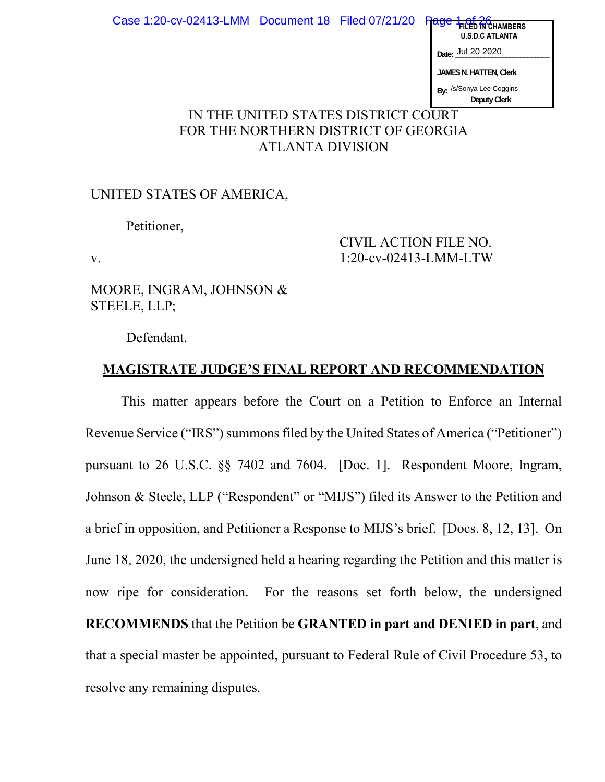| Case 1:20-cv-02413-LMM   Document 18   Filed 07/21/20 |  |  | CHAMRFRS<br><b>U.S.D.C ATLANTA</b>       |
|-------------------------------------------------------|--|--|------------------------------------------|
|                                                       |  |  | Date: Jul 20 2020                        |
|                                                       |  |  | <b>JAMES N. HATTEN, Clerk</b>            |
|                                                       |  |  | By: /s/Sonya Lee Coggins<br>Deputy Clerk |
| THE UNITED STATES DISTRICT COURT                      |  |  |                                          |

## IN THE UNITED STATES DISTRICT COURT FOR THE NORTHERN DISTRICT OF GEORGIA ATLANTA DIVISION

UNITED STATES OF AMERICA,

Petitioner,

v.

MOORE, INGRAM, JOHNSON & STEELE, LLP;

CIVIL ACTION FILE NO. 1:20-cv-02413-LMM-LTW

Defendant.

# **MAGISTRATE JUDGE'S FINAL REPORT AND RECOMMENDATION**

This matter appears before the Court on a Petition to Enforce an Internal Revenue Service ("IRS") summons filed by the United States of America ("Petitioner") pursuant to 26 U.S.C. §§ 7402 and 7604. [Doc. 1]. Respondent Moore, Ingram, Johnson & Steele, LLP ("Respondent" or "MIJS") filed its Answer to the Petition and a brief in opposition, and Petitioner a Response to MIJS's brief. [Docs. 8, 12, 13]. On June 18, 2020, the undersigned held a hearing regarding the Petition and this matter is now ripe for consideration. For the reasons set forth below, the undersigned **RECOMMENDS** that the Petition be **GRANTED in part and DENIED in part**, and that a special master be appointed, pursuant to Federal Rule of Civil Procedure 53, to resolve any remaining disputes.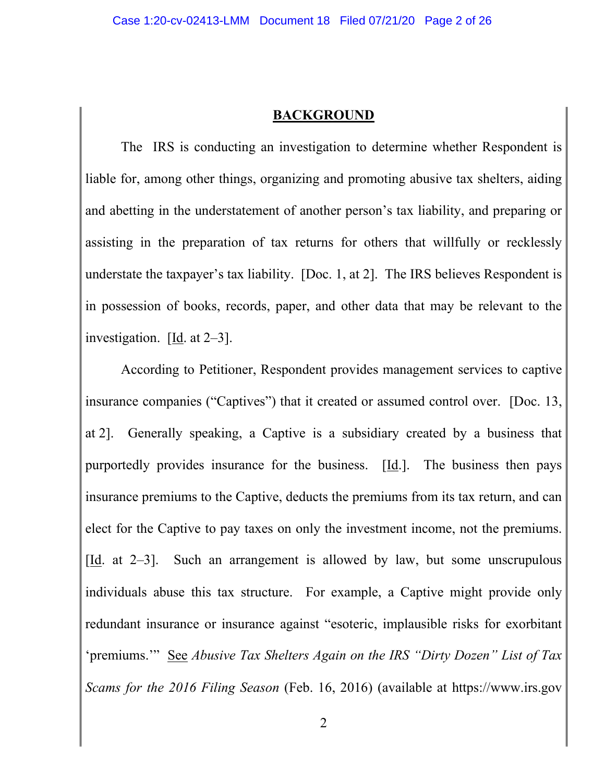#### **BACKGROUND**

The IRS is conducting an investigation to determine whether Respondent is liable for, among other things, organizing and promoting abusive tax shelters, aiding and abetting in the understatement of another person's tax liability, and preparing or assisting in the preparation of tax returns for others that willfully or recklessly understate the taxpayer's tax liability. [Doc. 1, at 2]. The IRS believes Respondent is in possession of books, records, paper, and other data that may be relevant to the investigation. [Id. at 2–3].

According to Petitioner, Respondent provides management services to captive insurance companies ("Captives") that it created or assumed control over. [Doc. 13, at 2]. Generally speaking, a Captive is a subsidiary created by a business that purportedly provides insurance for the business.  $[\underline{Id}]$ . The business then pays insurance premiums to the Captive, deducts the premiums from its tax return, and can elect for the Captive to pay taxes on only the investment income, not the premiums. [Id. at 2–3]. Such an arrangement is allowed by law, but some unscrupulous individuals abuse this tax structure. For example, a Captive might provide only redundant insurance or insurance against "esoteric, implausible risks for exorbitant 'premiums.'" See *Abusive Tax Shelters Again on the IRS "Dirty Dozen" List of Tax Scams for the 2016 Filing Season* (Feb. 16, 2016) (available at https://www.irs.gov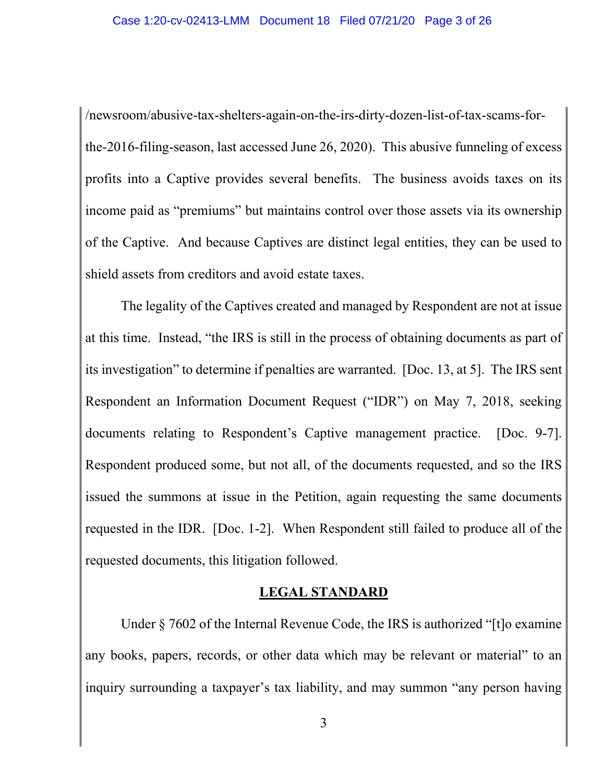/newsroom/abusive-tax-shelters-again-on-the-irs-dirty-dozen-list-of-tax-scams-forthe-2016-filing-season, last accessed June 26, 2020). This abusive funneling of excess profits into a Captive provides several benefits. The business avoids taxes on its income paid as "premiums" but maintains control over those assets via its ownership of the Captive. And because Captives are distinct legal entities, they can be used to shield assets from creditors and avoid estate taxes.

The legality of the Captives created and managed by Respondent are not at issue at this time. Instead, "the IRS is still in the process of obtaining documents as part of its investigation" to determine if penalties are warranted. [Doc. 13, at 5]. The IRS sent Respondent an Information Document Request ("IDR") on May 7, 2018, seeking documents relating to Respondent's Captive management practice. [Doc. 9-7]. Respondent produced some, but not all, of the documents requested, and so the IRS issued the summons at issue in the Petition, again requesting the same documents requested in the IDR. [Doc. 1-2]. When Respondent still failed to produce all of the requested documents, this litigation followed.

#### **LEGAL STANDARD**

Under § 7602 of the Internal Revenue Code, the IRS is authorized "[t]o examine any books, papers, records, or other data which may be relevant or material" to an inquiry surrounding a taxpayer's tax liability, and may summon "any person having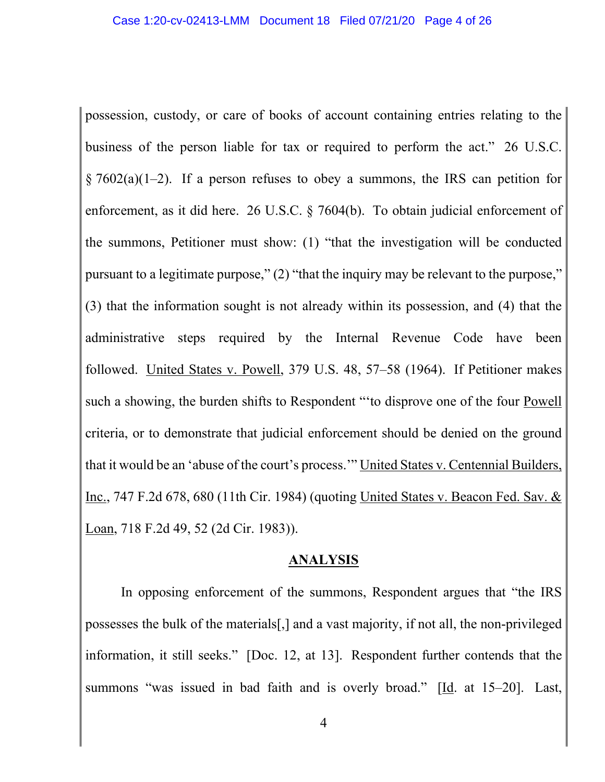possession, custody, or care of books of account containing entries relating to the business of the person liable for tax or required to perform the act." 26 U.S.C.  $\S 7602(a)(1-2)$ . If a person refuses to obey a summons, the IRS can petition for enforcement, as it did here. 26 U.S.C. § 7604(b). To obtain judicial enforcement of the summons, Petitioner must show: (1) "that the investigation will be conducted pursuant to a legitimate purpose," (2) "that the inquiry may be relevant to the purpose," (3) that the information sought is not already within its possession, and (4) that the administrative steps required by the Internal Revenue Code have been followed. United States v. Powell, 379 U.S. 48, 57–58 (1964). If Petitioner makes such a showing, the burden shifts to Respondent "'to disprove one of the four Powell criteria, or to demonstrate that judicial enforcement should be denied on the ground that it would be an 'abuse of the court's process.'" United States v. Centennial Builders, Inc., 747 F.2d 678, 680 (11th Cir. 1984) (quoting United States v. Beacon Fed. Sav. & Loan, 718 F.2d 49, 52 (2d Cir. 1983)).

#### **ANALYSIS**

In opposing enforcement of the summons, Respondent argues that "the IRS possesses the bulk of the materials[,] and a vast majority, if not all, the non-privileged information, it still seeks." [Doc. 12, at 13]. Respondent further contends that the summons "was issued in bad faith and is overly broad." [Id. at 15–20]. Last,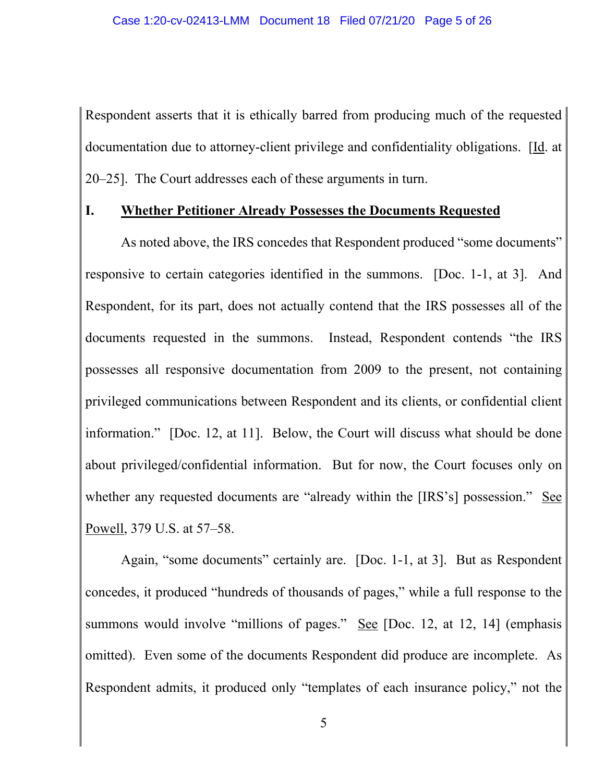Respondent asserts that it is ethically barred from producing much of the requested documentation due to attorney-client privilege and confidentiality obligations. [Id. at 20–25]. The Court addresses each of these arguments in turn.

#### **I. Whether Petitioner Already Possesses the Documents Requested**

As noted above, the IRS concedes that Respondent produced "some documents" responsive to certain categories identified in the summons. [Doc. 1-1, at 3]. And Respondent, for its part, does not actually contend that the IRS possesses all of the documents requested in the summons. Instead, Respondent contends "the IRS possesses all responsive documentation from 2009 to the present, not containing privileged communications between Respondent and its clients, or confidential client information." [Doc. 12, at 11]. Below, the Court will discuss what should be done about privileged/confidential information. But for now, the Court focuses only on whether any requested documents are "already within the [IRS's] possession." See Powell, 379 U.S. at 57–58.

Again, "some documents" certainly are. [Doc. 1-1, at 3]. But as Respondent concedes, it produced "hundreds of thousands of pages," while a full response to the summons would involve "millions of pages." See [Doc. 12, at 12, 14] (emphasis omitted). Even some of the documents Respondent did produce are incomplete. As Respondent admits, it produced only "templates of each insurance policy," not the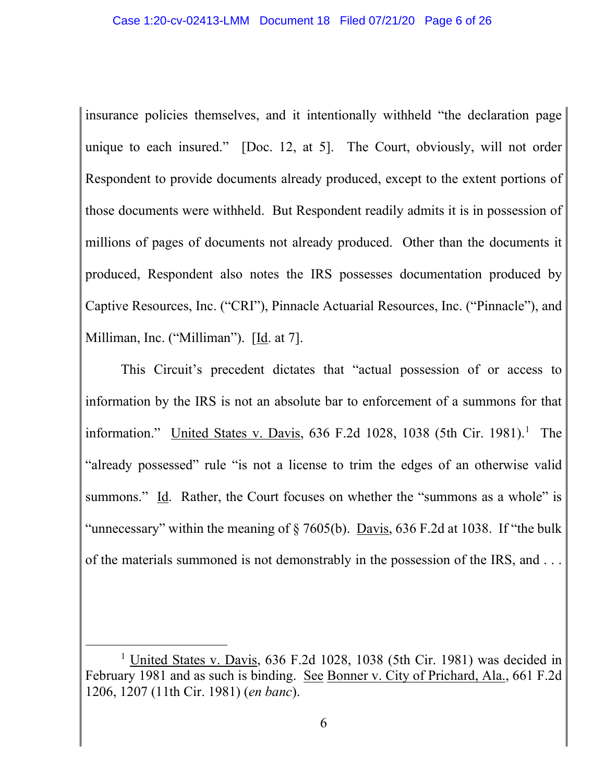insurance policies themselves, and it intentionally withheld "the declaration page unique to each insured." [Doc. 12, at 5]. The Court, obviously, will not order Respondent to provide documents already produced, except to the extent portions of those documents were withheld. But Respondent readily admits it is in possession of millions of pages of documents not already produced. Other than the documents it produced, Respondent also notes the IRS possesses documentation produced by Captive Resources, Inc. ("CRI"), Pinnacle Actuarial Resources, Inc. ("Pinnacle"), and Milliman, Inc. ("Milliman"). [Id. at 7].

This Circuit's precedent dictates that "actual possession of or access to information by the IRS is not an absolute bar to enforcement of a summons for that information." United States v. Davis, 636 F.2d 1028, 1038 (5th Cir. 1981).<sup>1</sup> The "already possessed" rule "is not a license to trim the edges of an otherwise valid summons." Id. Rather, the Court focuses on whether the "summons as a whole" is "unnecessary" within the meaning of § 7605(b). Davis, 636 F.2d at 1038. If "the bulk of the materials summoned is not demonstrably in the possession of the IRS, and . . .

<sup>&</sup>lt;sup>1</sup> United States v. Davis, 636 F.2d 1028, 1038 (5th Cir. 1981) was decided in February 1981 and as such is binding. See Bonner v. City of Prichard, Ala., 661 F.2d 1206, 1207 (11th Cir. 1981) (*en banc*).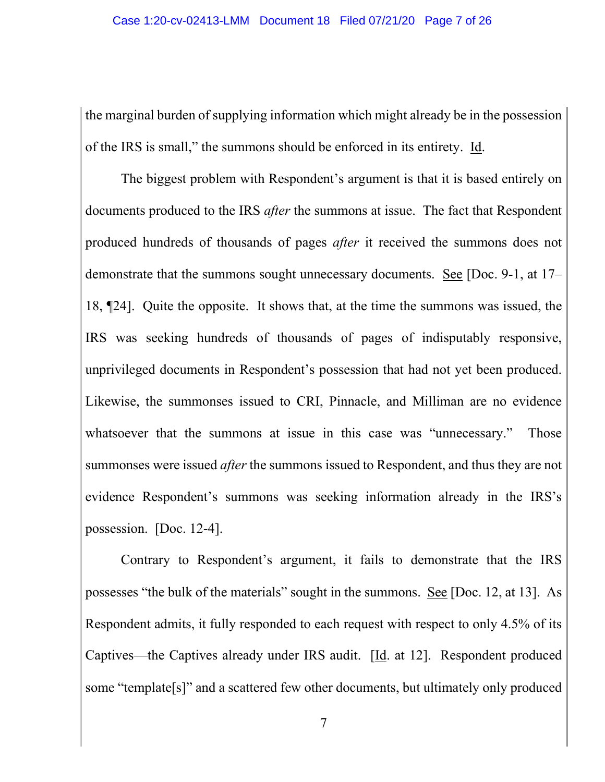the marginal burden of supplying information which might already be in the possession of the IRS is small," the summons should be enforced in its entirety. Id.

The biggest problem with Respondent's argument is that it is based entirely on documents produced to the IRS *after* the summons at issue. The fact that Respondent produced hundreds of thousands of pages *after* it received the summons does not demonstrate that the summons sought unnecessary documents. See [Doc. 9-1, at 17– 18, ¶24]. Quite the opposite. It shows that, at the time the summons was issued, the IRS was seeking hundreds of thousands of pages of indisputably responsive, unprivileged documents in Respondent's possession that had not yet been produced. Likewise, the summonses issued to CRI, Pinnacle, and Milliman are no evidence whatsoever that the summons at issue in this case was "unnecessary." Those summonses were issued *after* the summons issued to Respondent, and thus they are not evidence Respondent's summons was seeking information already in the IRS's possession. [Doc. 12-4].

Contrary to Respondent's argument, it fails to demonstrate that the IRS possesses "the bulk of the materials" sought in the summons. See [Doc. 12, at 13]. As Respondent admits, it fully responded to each request with respect to only 4.5% of its Captives—the Captives already under IRS audit. [Id. at 12]. Respondent produced some "template[s]" and a scattered few other documents, but ultimately only produced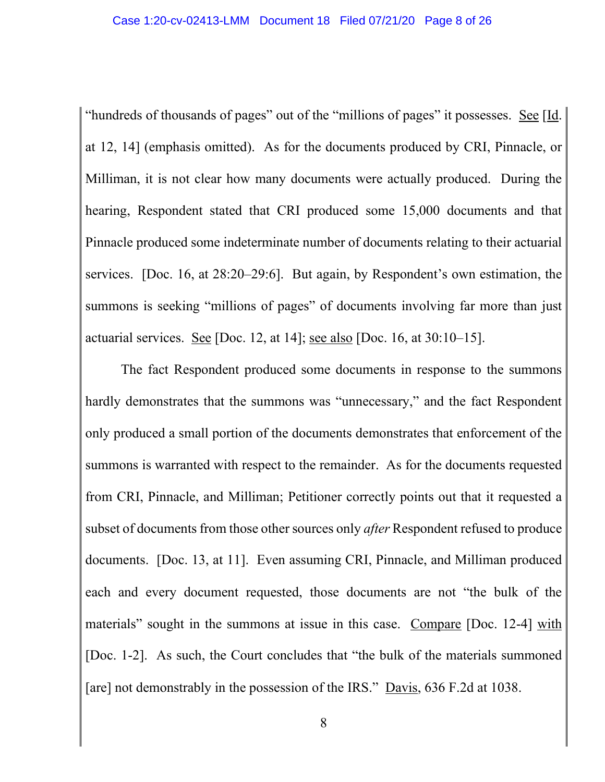"hundreds of thousands of pages" out of the "millions of pages" it possesses. See [Id. at 12, 14] (emphasis omitted). As for the documents produced by CRI, Pinnacle, or Milliman, it is not clear how many documents were actually produced. During the hearing, Respondent stated that CRI produced some 15,000 documents and that Pinnacle produced some indeterminate number of documents relating to their actuarial services. [Doc. 16, at 28:20–29:6]. But again, by Respondent's own estimation, the summons is seeking "millions of pages" of documents involving far more than just actuarial services. See [Doc. 12, at 14]; see also [Doc. 16, at 30:10–15].

The fact Respondent produced some documents in response to the summons hardly demonstrates that the summons was "unnecessary," and the fact Respondent only produced a small portion of the documents demonstrates that enforcement of the summons is warranted with respect to the remainder. As for the documents requested from CRI, Pinnacle, and Milliman; Petitioner correctly points out that it requested a subset of documents from those other sources only *after* Respondent refused to produce documents. [Doc. 13, at 11]. Even assuming CRI, Pinnacle, and Milliman produced each and every document requested, those documents are not "the bulk of the materials" sought in the summons at issue in this case. Compare [Doc. 12-4] with [Doc. 1-2]. As such, the Court concludes that "the bulk of the materials summoned [are] not demonstrably in the possession of the IRS." Davis, 636 F.2d at 1038.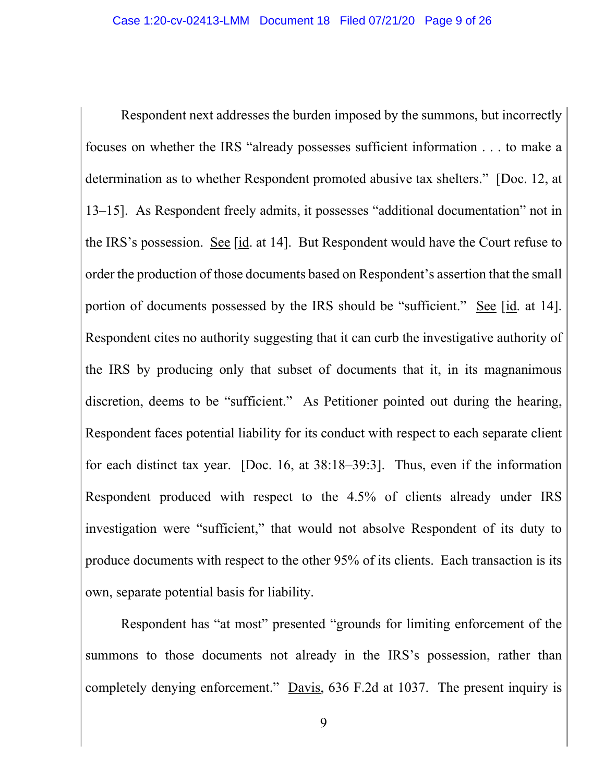Respondent next addresses the burden imposed by the summons, but incorrectly focuses on whether the IRS "already possesses sufficient information . . . to make a determination as to whether Respondent promoted abusive tax shelters." [Doc. 12, at 13–15]. As Respondent freely admits, it possesses "additional documentation" not in the IRS's possession. See [id. at 14]. But Respondent would have the Court refuse to order the production of those documents based on Respondent's assertion that the small portion of documents possessed by the IRS should be "sufficient." See [id. at 14]. Respondent cites no authority suggesting that it can curb the investigative authority of the IRS by producing only that subset of documents that it, in its magnanimous discretion, deems to be "sufficient." As Petitioner pointed out during the hearing, Respondent faces potential liability for its conduct with respect to each separate client for each distinct tax year. [Doc. 16, at 38:18–39:3]. Thus, even if the information Respondent produced with respect to the 4.5% of clients already under IRS investigation were "sufficient," that would not absolve Respondent of its duty to produce documents with respect to the other 95% of its clients. Each transaction is its own, separate potential basis for liability.

Respondent has "at most" presented "grounds for limiting enforcement of the summons to those documents not already in the IRS's possession, rather than completely denying enforcement." Davis, 636 F.2d at 1037. The present inquiry is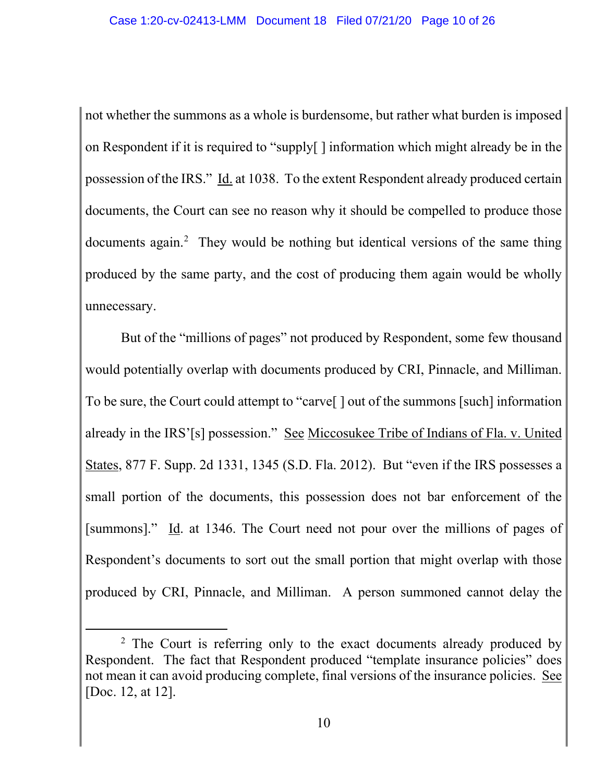not whether the summons as a whole is burdensome, but rather what burden is imposed on Respondent if it is required to "supply[ ] information which might already be in the possession of the IRS." Id. at 1038. To the extent Respondent already produced certain documents, the Court can see no reason why it should be compelled to produce those documents again.<sup>2</sup> They would be nothing but identical versions of the same thing produced by the same party, and the cost of producing them again would be wholly unnecessary.

But of the "millions of pages" not produced by Respondent, some few thousand would potentially overlap with documents produced by CRI, Pinnacle, and Milliman. To be sure, the Court could attempt to "carve[ ] out of the summons [such] information already in the IRS'[s] possession." See Miccosukee Tribe of Indians of Fla. v. United States, 877 F. Supp. 2d 1331, 1345 (S.D. Fla. 2012). But "even if the IRS possesses a small portion of the documents, this possession does not bar enforcement of the [summons]." Id. at 1346. The Court need not pour over the millions of pages of Respondent's documents to sort out the small portion that might overlap with those produced by CRI, Pinnacle, and Milliman. A person summoned cannot delay the

<sup>&</sup>lt;sup>2</sup> The Court is referring only to the exact documents already produced by Respondent. The fact that Respondent produced "template insurance policies" does not mean it can avoid producing complete, final versions of the insurance policies. See [Doc. 12, at 12].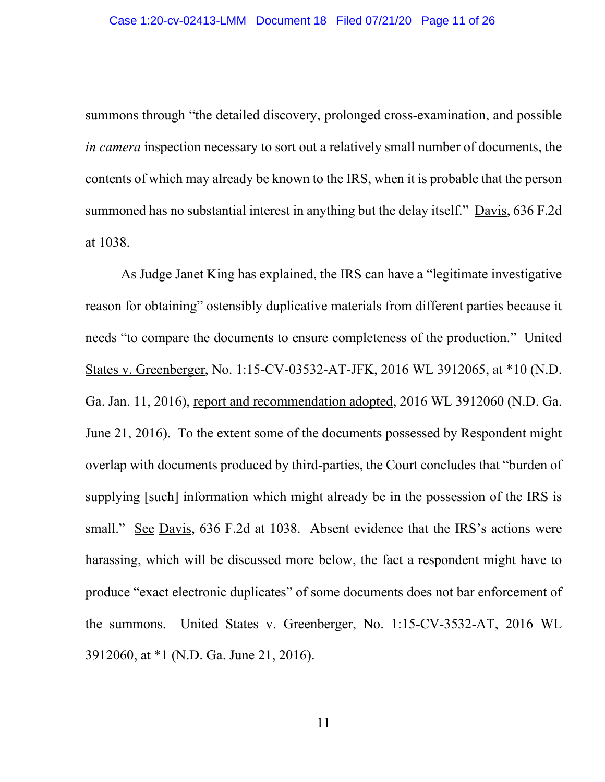summons through "the detailed discovery, prolonged cross-examination, and possible *in camera* inspection necessary to sort out a relatively small number of documents, the contents of which may already be known to the IRS, when it is probable that the person summoned has no substantial interest in anything but the delay itself." Davis, 636 F.2d at 1038.

As Judge Janet King has explained, the IRS can have a "legitimate investigative reason for obtaining" ostensibly duplicative materials from different parties because it needs "to compare the documents to ensure completeness of the production." United States v. Greenberger, No. 1:15-CV-03532-AT-JFK, 2016 WL 3912065, at \*10 (N.D. Ga. Jan. 11, 2016), report and recommendation adopted, 2016 WL 3912060 (N.D. Ga. June 21, 2016). To the extent some of the documents possessed by Respondent might overlap with documents produced by third-parties, the Court concludes that "burden of supplying [such] information which might already be in the possession of the IRS is small." See Davis, 636 F.2d at 1038. Absent evidence that the IRS's actions were harassing, which will be discussed more below, the fact a respondent might have to produce "exact electronic duplicates" of some documents does not bar enforcement of the summons. United States v. Greenberger, No. 1:15-CV-3532-AT, 2016 WL 3912060, at \*1 (N.D. Ga. June 21, 2016).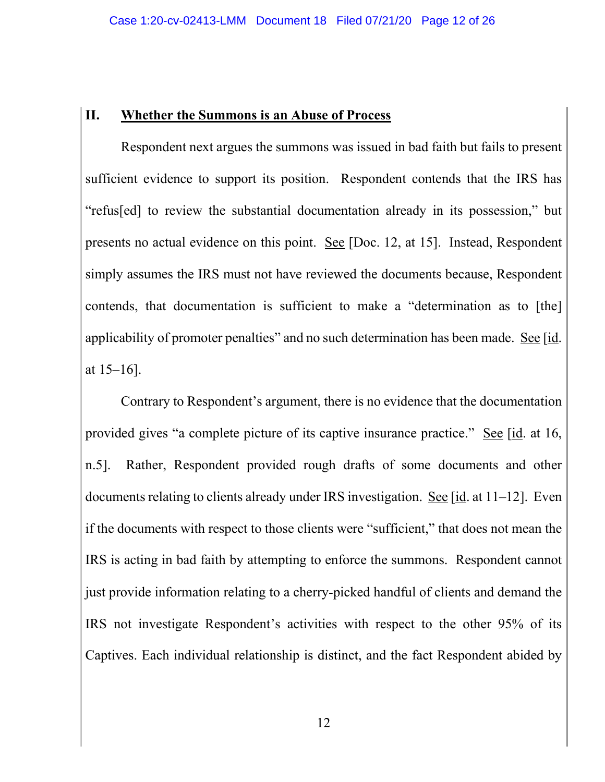#### **II. Whether the Summons is an Abuse of Process**

Respondent next argues the summons was issued in bad faith but fails to present sufficient evidence to support its position. Respondent contends that the IRS has "refus[ed] to review the substantial documentation already in its possession," but presents no actual evidence on this point. See [Doc. 12, at 15]. Instead, Respondent simply assumes the IRS must not have reviewed the documents because, Respondent contends, that documentation is sufficient to make a "determination as to [the] applicability of promoter penalties" and no such determination has been made. See [id. at 15–16].

Contrary to Respondent's argument, there is no evidence that the documentation provided gives "a complete picture of its captive insurance practice." See [id. at 16, n.5]. Rather, Respondent provided rough drafts of some documents and other documents relating to clients already under IRS investigation. See  $[i_d]$  at  $11-12$ . Even if the documents with respect to those clients were "sufficient," that does not mean the IRS is acting in bad faith by attempting to enforce the summons. Respondent cannot just provide information relating to a cherry-picked handful of clients and demand the IRS not investigate Respondent's activities with respect to the other 95% of its Captives. Each individual relationship is distinct, and the fact Respondent abided by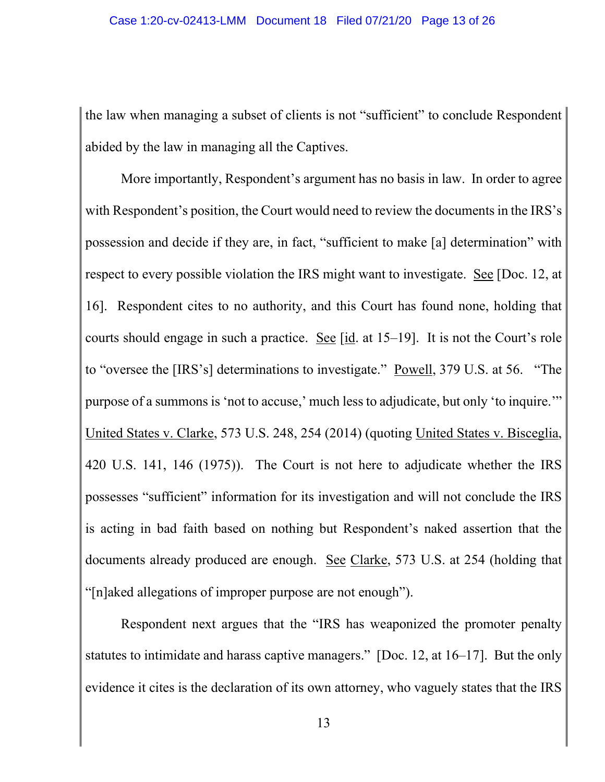the law when managing a subset of clients is not "sufficient" to conclude Respondent abided by the law in managing all the Captives.

More importantly, Respondent's argument has no basis in law. In order to agree with Respondent's position, the Court would need to review the documents in the IRS's possession and decide if they are, in fact, "sufficient to make [a] determination" with respect to every possible violation the IRS might want to investigate. See [Doc. 12, at 16]. Respondent cites to no authority, and this Court has found none, holding that courts should engage in such a practice. See [id. at 15–19]. It is not the Court's role to "oversee the [IRS's] determinations to investigate." Powell, 379 U.S. at 56. "The purpose of a summons is 'not to accuse,' much less to adjudicate, but only 'to inquire.'" United States v. Clarke, 573 U.S. 248, 254 (2014) (quoting United States v. Bisceglia, 420 U.S. 141, 146 (1975)). The Court is not here to adjudicate whether the IRS possesses "sufficient" information for its investigation and will not conclude the IRS is acting in bad faith based on nothing but Respondent's naked assertion that the documents already produced are enough. See Clarke, 573 U.S. at 254 (holding that "[n]aked allegations of improper purpose are not enough").

Respondent next argues that the "IRS has weaponized the promoter penalty statutes to intimidate and harass captive managers." [Doc. 12, at 16–17]. But the only evidence it cites is the declaration of its own attorney, who vaguely states that the IRS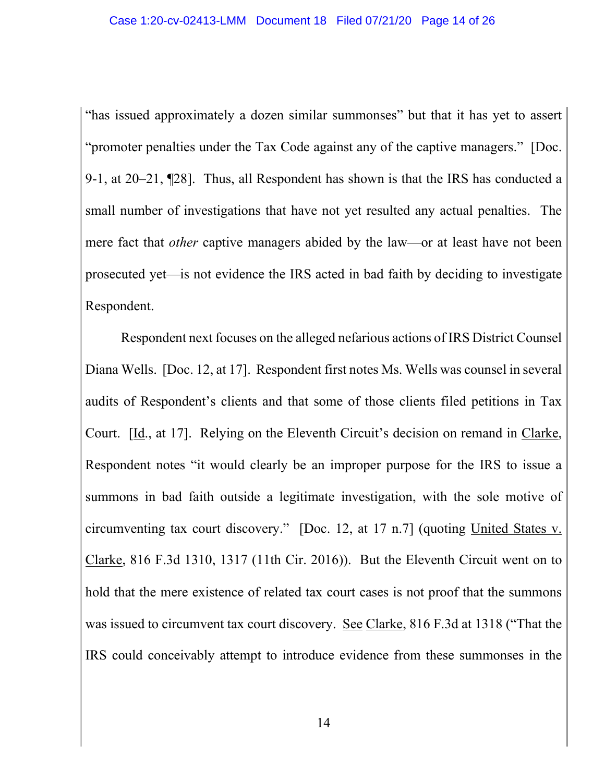"has issued approximately a dozen similar summonses" but that it has yet to assert "promoter penalties under the Tax Code against any of the captive managers." [Doc. 9-1, at 20–21, ¶28]. Thus, all Respondent has shown is that the IRS has conducted a small number of investigations that have not yet resulted any actual penalties. The mere fact that *other* captive managers abided by the law—or at least have not been prosecuted yet—is not evidence the IRS acted in bad faith by deciding to investigate Respondent.

Respondent next focuses on the alleged nefarious actions of IRS District Counsel Diana Wells. [Doc. 12, at 17]. Respondent first notes Ms. Wells was counsel in several audits of Respondent's clients and that some of those clients filed petitions in Tax Court. [Id., at 17]. Relying on the Eleventh Circuit's decision on remand in Clarke, Respondent notes "it would clearly be an improper purpose for the IRS to issue a summons in bad faith outside a legitimate investigation, with the sole motive of circumventing tax court discovery." [Doc. 12, at 17 n.7] (quoting United States v. Clarke, 816 F.3d 1310, 1317 (11th Cir. 2016)). But the Eleventh Circuit went on to hold that the mere existence of related tax court cases is not proof that the summons was issued to circumvent tax court discovery. See Clarke, 816 F.3d at 1318 ("That the IRS could conceivably attempt to introduce evidence from these summonses in the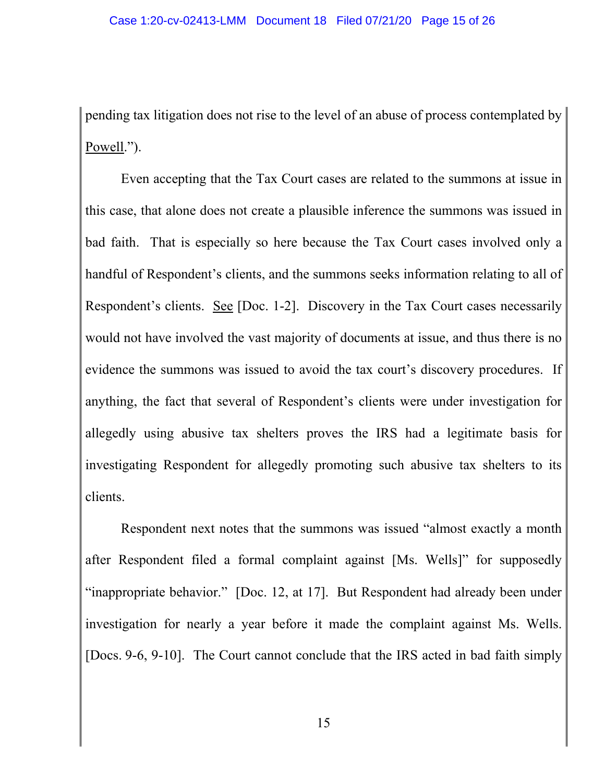pending tax litigation does not rise to the level of an abuse of process contemplated by Powell.").

Even accepting that the Tax Court cases are related to the summons at issue in this case, that alone does not create a plausible inference the summons was issued in bad faith. That is especially so here because the Tax Court cases involved only a handful of Respondent's clients, and the summons seeks information relating to all of Respondent's clients. See [Doc. 1-2]. Discovery in the Tax Court cases necessarily would not have involved the vast majority of documents at issue, and thus there is no evidence the summons was issued to avoid the tax court's discovery procedures. If anything, the fact that several of Respondent's clients were under investigation for allegedly using abusive tax shelters proves the IRS had a legitimate basis for investigating Respondent for allegedly promoting such abusive tax shelters to its clients.

Respondent next notes that the summons was issued "almost exactly a month after Respondent filed a formal complaint against [Ms. Wells]" for supposedly "inappropriate behavior." [Doc. 12, at 17]. But Respondent had already been under investigation for nearly a year before it made the complaint against Ms. Wells. [Docs. 9-6, 9-10]. The Court cannot conclude that the IRS acted in bad faith simply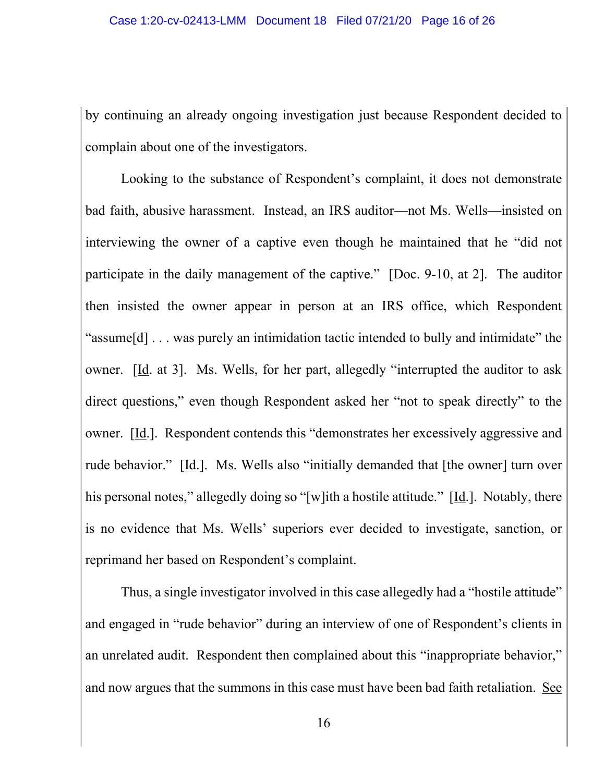by continuing an already ongoing investigation just because Respondent decided to complain about one of the investigators.

Looking to the substance of Respondent's complaint, it does not demonstrate bad faith, abusive harassment. Instead, an IRS auditor—not Ms. Wells—insisted on interviewing the owner of a captive even though he maintained that he "did not participate in the daily management of the captive." [Doc. 9-10, at 2]. The auditor then insisted the owner appear in person at an IRS office, which Respondent "assume[d] . . . was purely an intimidation tactic intended to bully and intimidate" the owner. [Id. at 3]. Ms. Wells, for her part, allegedly "interrupted the auditor to ask direct questions," even though Respondent asked her "not to speak directly" to the owner. [Id.]. Respondent contends this "demonstrates her excessively aggressive and rude behavior." [Id.]. Ms. Wells also "initially demanded that [the owner] turn over his personal notes," allegedly doing so "[w]ith a hostile attitude." [Id.]. Notably, there is no evidence that Ms. Wells' superiors ever decided to investigate, sanction, or reprimand her based on Respondent's complaint.

Thus, a single investigator involved in this case allegedly had a "hostile attitude" and engaged in "rude behavior" during an interview of one of Respondent's clients in an unrelated audit. Respondent then complained about this "inappropriate behavior," and now argues that the summons in this case must have been bad faith retaliation. See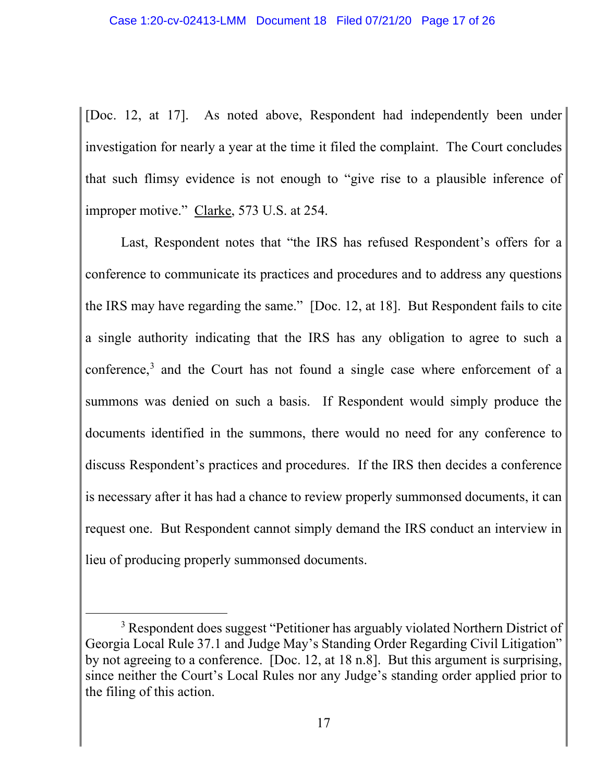[Doc. 12, at 17]. As noted above, Respondent had independently been under investigation for nearly a year at the time it filed the complaint. The Court concludes that such flimsy evidence is not enough to "give rise to a plausible inference of improper motive." Clarke, 573 U.S. at 254.

Last, Respondent notes that "the IRS has refused Respondent's offers for a conference to communicate its practices and procedures and to address any questions the IRS may have regarding the same." [Doc. 12, at 18]. But Respondent fails to cite a single authority indicating that the IRS has any obligation to agree to such a conference,<sup>3</sup> and the Court has not found a single case where enforcement of a summons was denied on such a basis. If Respondent would simply produce the documents identified in the summons, there would no need for any conference to discuss Respondent's practices and procedures. If the IRS then decides a conference is necessary after it has had a chance to review properly summonsed documents, it can request one. But Respondent cannot simply demand the IRS conduct an interview in lieu of producing properly summonsed documents.

<sup>&</sup>lt;sup>3</sup> Respondent does suggest "Petitioner has arguably violated Northern District of Georgia Local Rule 37.1 and Judge May's Standing Order Regarding Civil Litigation" by not agreeing to a conference. [Doc. 12, at 18 n.8]. But this argument is surprising, since neither the Court's Local Rules nor any Judge's standing order applied prior to the filing of this action.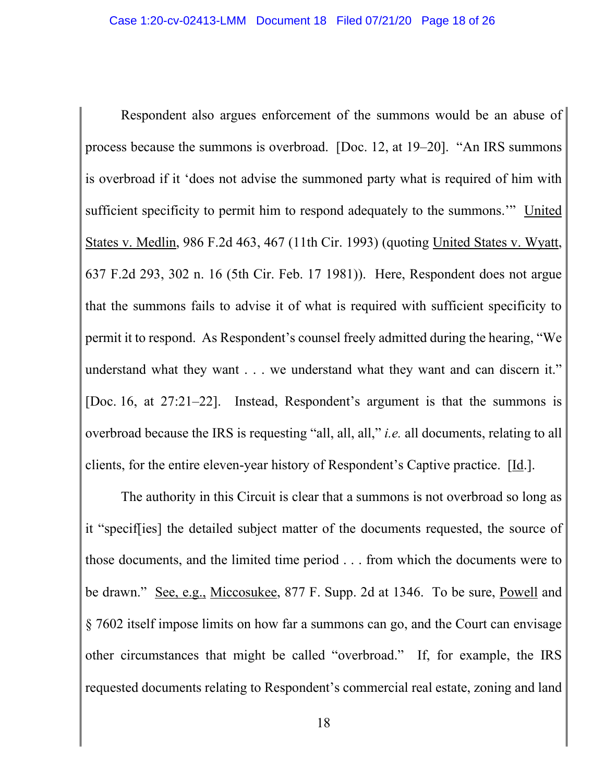Respondent also argues enforcement of the summons would be an abuse of process because the summons is overbroad. [Doc. 12, at 19–20]. "An IRS summons is overbroad if it 'does not advise the summoned party what is required of him with sufficient specificity to permit him to respond adequately to the summons.'" United States v. Medlin, 986 F.2d 463, 467 (11th Cir. 1993) (quoting United States v. Wyatt, 637 F.2d 293, 302 n. 16 (5th Cir. Feb. 17 1981)). Here, Respondent does not argue that the summons fails to advise it of what is required with sufficient specificity to permit it to respond. As Respondent's counsel freely admitted during the hearing, "We understand what they want . . . we understand what they want and can discern it." [Doc. 16, at 27:21–22]. Instead, Respondent's argument is that the summons is overbroad because the IRS is requesting "all, all, all," *i.e.* all documents, relating to all clients, for the entire eleven-year history of Respondent's Captive practice.  $[\underline{Id}]$ .

The authority in this Circuit is clear that a summons is not overbroad so long as it "specif[ies] the detailed subject matter of the documents requested, the source of those documents, and the limited time period . . . from which the documents were to be drawn." See, e.g., Miccosukee, 877 F. Supp. 2d at 1346. To be sure, Powell and § 7602 itself impose limits on how far a summons can go, and the Court can envisage other circumstances that might be called "overbroad." If, for example, the IRS requested documents relating to Respondent's commercial real estate, zoning and land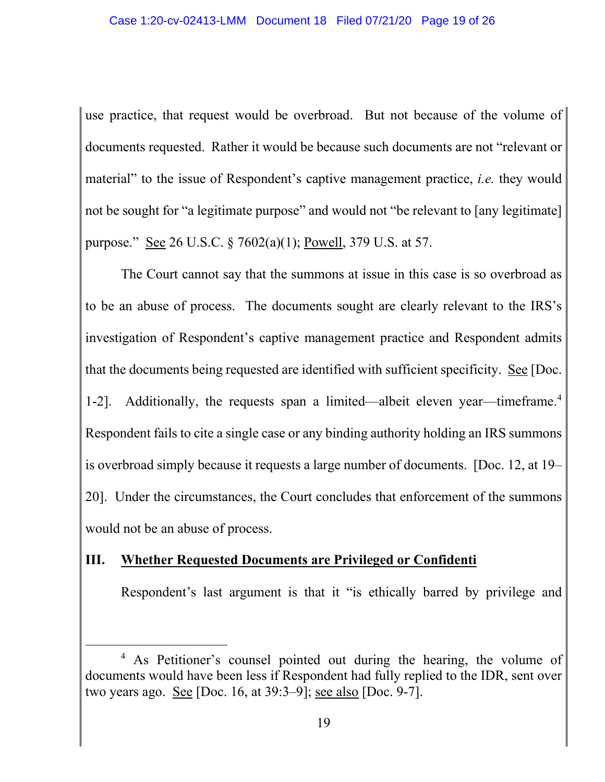use practice, that request would be overbroad. But not because of the volume of documents requested. Rather it would be because such documents are not "relevant or material" to the issue of Respondent's captive management practice, *i.e.* they would not be sought for "a legitimate purpose" and would not "be relevant to [any legitimate] purpose." See 26 U.S.C. § 7602(a)(1); Powell, 379 U.S. at 57.

The Court cannot say that the summons at issue in this case is so overbroad as to be an abuse of process. The documents sought are clearly relevant to the IRS's investigation of Respondent's captive management practice and Respondent admits that the documents being requested are identified with sufficient specificity. See [Doc. 1-2]. Additionally, the requests span a limited—albeit eleven year—timeframe.<sup>4</sup> Respondent fails to cite a single case or any binding authority holding an IRS summons is overbroad simply because it requests a large number of documents. [Doc. 12, at 19– 20]. Under the circumstances, the Court concludes that enforcement of the summons would not be an abuse of process.

## **III. Whether Requested Documents are Privileged or Confidenti**

Respondent's last argument is that it "is ethically barred by privilege and

<sup>&</sup>lt;sup>4</sup> As Petitioner's counsel pointed out during the hearing, the volume of documents would have been less if Respondent had fully replied to the IDR, sent over two years ago. See [Doc. 16, at 39:3–9]; see also [Doc. 9-7].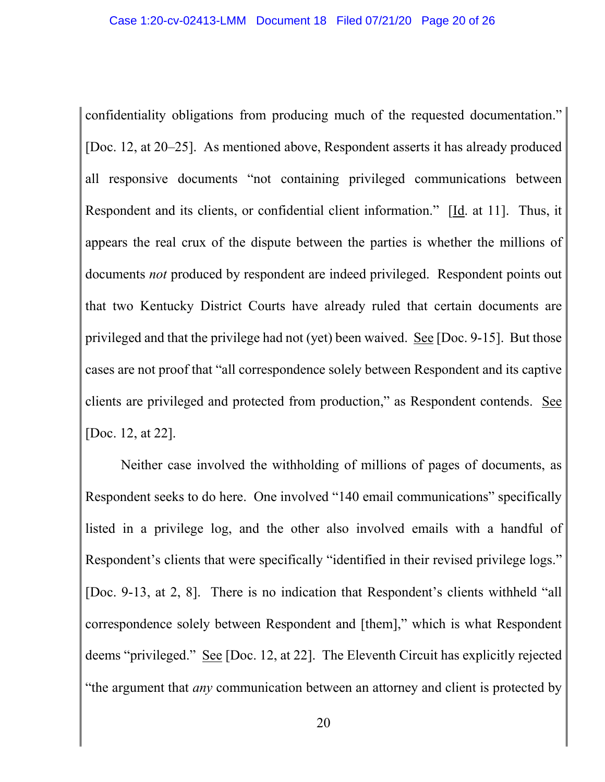confidentiality obligations from producing much of the requested documentation." [Doc. 12, at 20–25]. As mentioned above, Respondent asserts it has already produced all responsive documents "not containing privileged communications between Respondent and its clients, or confidential client information." [Id. at 11]. Thus, it appears the real crux of the dispute between the parties is whether the millions of documents *not* produced by respondent are indeed privileged. Respondent points out that two Kentucky District Courts have already ruled that certain documents are privileged and that the privilege had not (yet) been waived. See [Doc. 9-15]. But those cases are not proof that "all correspondence solely between Respondent and its captive clients are privileged and protected from production," as Respondent contends. See [Doc. 12, at 22].

Neither case involved the withholding of millions of pages of documents, as Respondent seeks to do here. One involved "140 email communications" specifically listed in a privilege log, and the other also involved emails with a handful of Respondent's clients that were specifically "identified in their revised privilege logs." [Doc. 9-13, at 2, 8]. There is no indication that Respondent's clients withheld "all correspondence solely between Respondent and [them]," which is what Respondent deems "privileged." See [Doc. 12, at 22]. The Eleventh Circuit has explicitly rejected "the argument that *any* communication between an attorney and client is protected by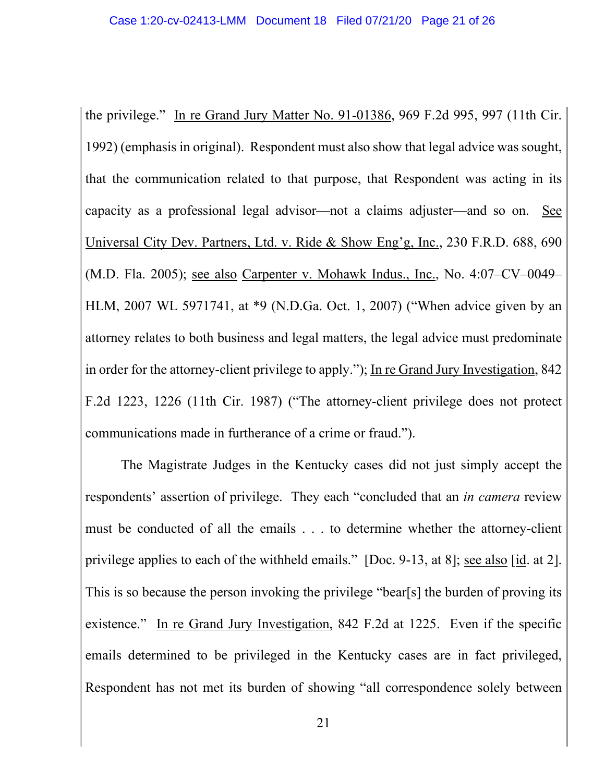the privilege." In re Grand Jury Matter No. 91-01386, 969 F.2d 995, 997 (11th Cir. 1992) (emphasis in original). Respondent must also show that legal advice was sought, that the communication related to that purpose, that Respondent was acting in its capacity as a professional legal advisor—not a claims adjuster—and so on. See Universal City Dev. Partners, Ltd. v. Ride & Show Eng'g, Inc., 230 F.R.D. 688, 690 (M.D. Fla. 2005); see also Carpenter v. Mohawk Indus., Inc., No. 4:07–CV–0049– HLM, 2007 WL 5971741, at \*9 (N.D.Ga. Oct. 1, 2007) ("When advice given by an attorney relates to both business and legal matters, the legal advice must predominate in order for the attorney-client privilege to apply."); In re Grand Jury Investigation, 842 F.2d 1223, 1226 (11th Cir. 1987) ("The attorney-client privilege does not protect communications made in furtherance of a crime or fraud.").

The Magistrate Judges in the Kentucky cases did not just simply accept the respondents' assertion of privilege. They each "concluded that an *in camera* review must be conducted of all the emails . . . to determine whether the attorney-client privilege applies to each of the withheld emails." [Doc. 9-13, at 8]; see also [id. at 2]. This is so because the person invoking the privilege "bear[s] the burden of proving its existence." In re Grand Jury Investigation, 842 F.2d at 1225. Even if the specific emails determined to be privileged in the Kentucky cases are in fact privileged, Respondent has not met its burden of showing "all correspondence solely between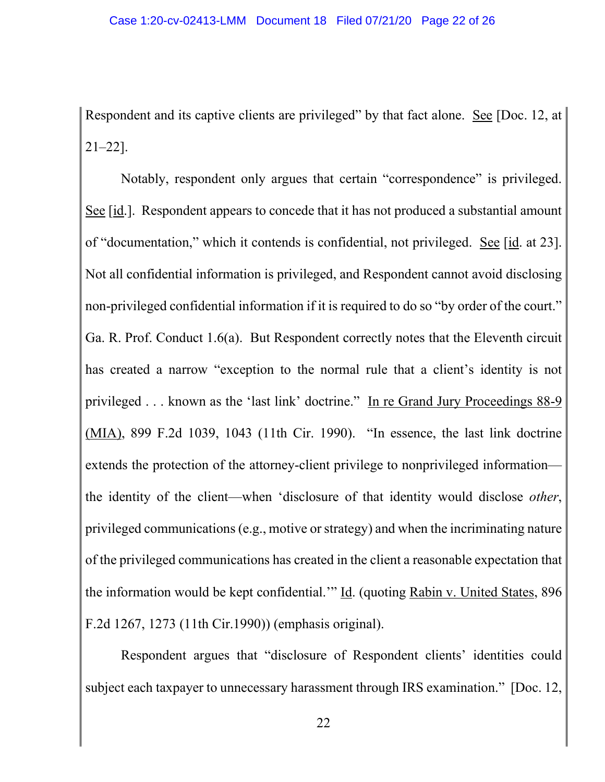Respondent and its captive clients are privileged" by that fact alone. See [Doc. 12, at 21–22].

Notably, respondent only argues that certain "correspondence" is privileged. See [id.]. Respondent appears to concede that it has not produced a substantial amount of "documentation," which it contends is confidential, not privileged. See [id. at 23]. Not all confidential information is privileged, and Respondent cannot avoid disclosing non-privileged confidential information if it is required to do so "by order of the court." Ga. R. Prof. Conduct 1.6(a). But Respondent correctly notes that the Eleventh circuit has created a narrow "exception to the normal rule that a client's identity is not privileged . . . known as the 'last link' doctrine." In re Grand Jury Proceedings 88-9 (MIA), 899 F.2d 1039, 1043 (11th Cir. 1990). "In essence, the last link doctrine extends the protection of the attorney-client privilege to nonprivileged information the identity of the client—when 'disclosure of that identity would disclose *other*, privileged communications (e.g., motive or strategy) and when the incriminating nature of the privileged communications has created in the client a reasonable expectation that the information would be kept confidential.'" Id. (quoting Rabin v. United States, 896 F.2d 1267, 1273 (11th Cir.1990)) (emphasis original).

Respondent argues that "disclosure of Respondent clients' identities could subject each taxpayer to unnecessary harassment through IRS examination." [Doc. 12,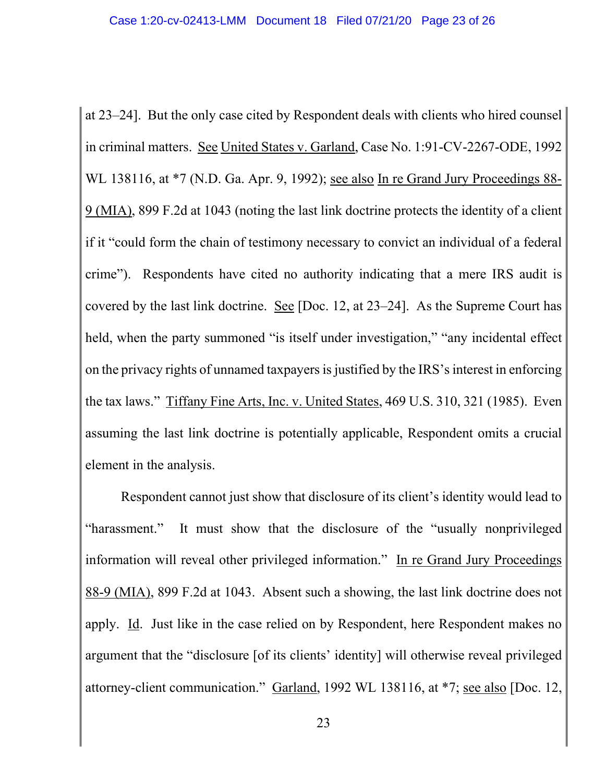at 23–24]. But the only case cited by Respondent deals with clients who hired counsel in criminal matters. See United States v. Garland, Case No. 1:91-CV-2267-ODE, 1992 WL 138116, at \*7 (N.D. Ga. Apr. 9, 1992); see also In re Grand Jury Proceedings 88- 9 (MIA), 899 F.2d at 1043 (noting the last link doctrine protects the identity of a client if it "could form the chain of testimony necessary to convict an individual of a federal crime"). Respondents have cited no authority indicating that a mere IRS audit is covered by the last link doctrine. See [Doc. 12, at 23–24]. As the Supreme Court has held, when the party summoned "is itself under investigation," "any incidental effect on the privacy rights of unnamed taxpayers is justified by the IRS's interest in enforcing the tax laws." Tiffany Fine Arts, Inc. v. United States, 469 U.S. 310, 321 (1985). Even assuming the last link doctrine is potentially applicable, Respondent omits a crucial element in the analysis.

Respondent cannot just show that disclosure of its client's identity would lead to "harassment." It must show that the disclosure of the "usually nonprivileged information will reveal other privileged information." In re Grand Jury Proceedings 88-9 (MIA), 899 F.2d at 1043. Absent such a showing, the last link doctrine does not apply. Id. Just like in the case relied on by Respondent, here Respondent makes no argument that the "disclosure [of its clients' identity] will otherwise reveal privileged attorney-client communication." Garland, 1992 WL 138116, at \*7; see also [Doc. 12,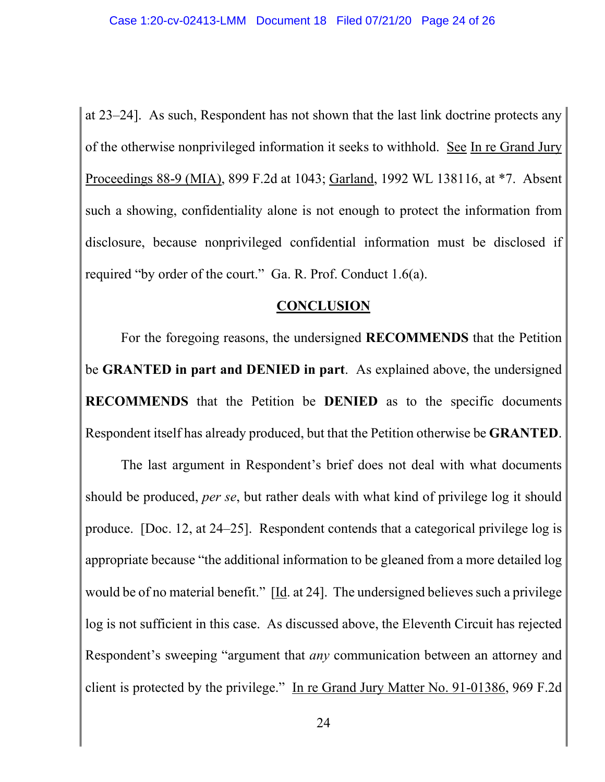at 23–24]. As such, Respondent has not shown that the last link doctrine protects any of the otherwise nonprivileged information it seeks to withhold. See In re Grand Jury Proceedings 88-9 (MIA), 899 F.2d at 1043; Garland, 1992 WL 138116, at \*7. Absent such a showing, confidentiality alone is not enough to protect the information from disclosure, because nonprivileged confidential information must be disclosed if required "by order of the court." Ga. R. Prof. Conduct 1.6(a).

# **CONCLUSION**

For the foregoing reasons, the undersigned **RECOMMENDS** that the Petition be **GRANTED in part and DENIED in part**. As explained above, the undersigned **RECOMMENDS** that the Petition be **DENIED** as to the specific documents Respondent itself has already produced, but that the Petition otherwise be **GRANTED**.

The last argument in Respondent's brief does not deal with what documents should be produced, *per se*, but rather deals with what kind of privilege log it should produce. [Doc. 12, at 24–25]. Respondent contends that a categorical privilege log is appropriate because "the additional information to be gleaned from a more detailed log would be of no material benefit." [Id. at 24]. The undersigned believes such a privilege log is not sufficient in this case. As discussed above, the Eleventh Circuit has rejected Respondent's sweeping "argument that *any* communication between an attorney and client is protected by the privilege." In re Grand Jury Matter No. 91-01386, 969 F.2d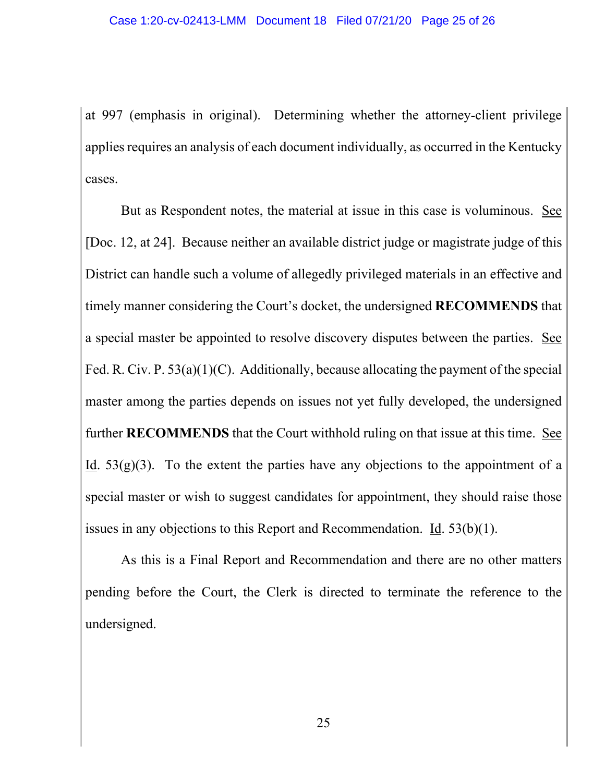at 997 (emphasis in original). Determining whether the attorney-client privilege applies requires an analysis of each document individually, as occurred in the Kentucky cases.

But as Respondent notes, the material at issue in this case is voluminous. See [Doc. 12, at 24]. Because neither an available district judge or magistrate judge of this District can handle such a volume of allegedly privileged materials in an effective and timely manner considering the Court's docket, the undersigned **RECOMMENDS** that a special master be appointed to resolve discovery disputes between the parties. See Fed. R. Civ. P. 53(a)(1)(C). Additionally, because allocating the payment of the special master among the parties depends on issues not yet fully developed, the undersigned further **RECOMMENDS** that the Court withhold ruling on that issue at this time. See Id.  $53(g)(3)$ . To the extent the parties have any objections to the appointment of a special master or wish to suggest candidates for appointment, they should raise those issues in any objections to this Report and Recommendation.  $\underline{Id}$ . 53(b)(1).

As this is a Final Report and Recommendation and there are no other matters pending before the Court, the Clerk is directed to terminate the reference to the undersigned.